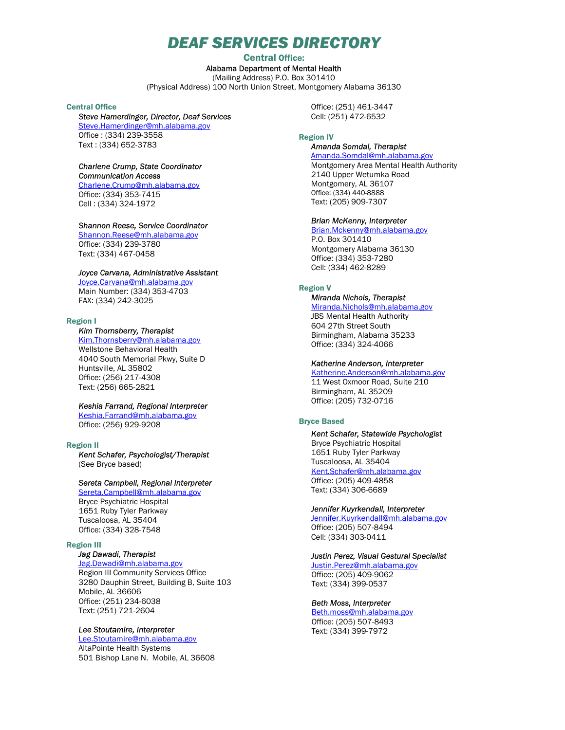# DEAF SERVICES DIRECTORY

# Central Office: Alabama Department of Mental Health (Mailing Address) P.O. Box 301410 (Physical Address) 100 North Union Street, Montgomery Alabama 36130

# Central Office

### Steve Hamerdinger, Director, Deaf Services Steve.Hamerdinger@mh.alabama.gov

Office : (334) 239-3558 Text : (334) 652-3783

# Charlene Crump, State Coordinator

Communication Access

Charlene.Crump@mh.alabama.gov Office: (334) 353-7415 Cell : (334) 324-1972

# Shannon Reese, Service Coordinator

Shannon.Reese@mh.alabama.gov Office: (334) 239-3780 Text: (334) 467-0458

# Joyce Carvana, Administrative Assistant

Joyce.Carvana@mh.alabama.gov Main Number: (334) 353-4703 FAX: (334) 242-3025

#### Region I

# Kim Thornsberry, Therapist

Kim.Thornsberry@mh.alabama.gov Wellstone Behavioral Health 4040 South Memorial Pkwy, Suite D Huntsville, AL 35802 Office: (256) 217-4308 Text: (256) 665-2821

### Keshia Farrand, Regional Interpreter

Keshia.Farrand@mh.alabama.gov Office: (256) 929-9208

### Region II

Kent Schafer, Psychologist/Therapist (See Bryce based)

## Sereta Campbell, Regional Interpreter

Sereta.Campbell@mh.alabama.gov Bryce Psychiatric Hospital 1651 Ruby Tyler Parkway

Tuscaloosa, AL 35404 Office: (334) 328-7548

# Region III

# Jag Dawadi, Therapist

Jag.Dawadi@mh.alabama.gov Region III Community Services Office 3280 Dauphin Street, Building B, Suite 103 Mobile, AL 36606 Office: (251) 234-6038 Text: (251) 721-2604

### Lee Stoutamire, Interpreter

Lee.Stoutamire@mh.alabama.gov AltaPointe Health Systems 501 Bishop Lane N. Mobile, AL 36608 Office: (251) 461-3447 Cell: (251) 472-6532

#### Region IV

### Amanda Somdal, Therapist Amanda.Somdal@mh.alabama.gov

Montgomery Area Mental Health Authority 2140 Upper Wetumka Road Montgomery, AL 36107 Office: (334) 440-8888 Text: (205) 909-7307

#### Brian McKenny, Interpreter

Brian.Mckenny@mh.alabama.gov P.O. Box 301410 Montgomery Alabama 36130 Office: (334) 353-7280 Cell: (334) 462-8289

### Region V

# Miranda Nichols, Therapist

Miranda.Nichols@mh.alabama.gov JBS Mental Health Authority 604 27th Street South Birmingham, Alabama 35233 Office: (334) 324-4066

### Katherine Anderson, Interpreter

Katherine.Anderson@mh.alabama.gov 11 West Oxmoor Road, Suite 210 Birmingham, AL 35209 Office: (205) 732-0716

# Bryce Based

Kent Schafer, Statewide Psychologist Bryce Psychiatric Hospital 1651 Ruby Tyler Parkway Tuscaloosa, AL 35404 Kent.Schafer@mh.alabama.gov Office: (205) 409-4858 Text: (334) 306-6689

### Jennifer Kuyrkendall, Interpreter

Jennifer.Kuyrkendall@mh.alabama.gov Office: (205) 507-8494 Cell: (334) 303-0411

### Justin Perez, Visual Gestural Specialist

Justin.Perez@mh.alabama.gov Office: (205) 409-9062 Text: (334) 399-0537

# Beth Moss, Interpreter

Beth.moss@mh.alabama.gov Office: (205) 507-8493 Text: (334) 399-7972